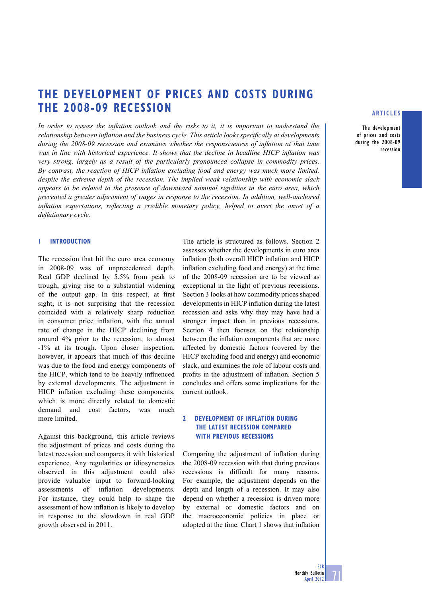# **THE DEVELOPMENT OF PRICES AND COSTS DURING THE 2008-09 RECESSION**

In order to assess the inflation outlook and the risks to it, it is important to understand the *relationship between inflation and the business cycle. This article looks specifically at developments during the 2008-09 recession and examines whether the responsiveness of inflation at that time was in line with historical experience. It shows that the decline in headline HICP inflation was very strong, largely as a result of the particularly pronounced collapse in commodity prices.*  By contrast, the reaction of HICP inflation excluding food and energy was much more limited, *despite the extreme depth of the recession. The implied weak relationship with economic slack appears to be related to the presence of downward nominal rigidities in the euro area, which prevented a greater adjustment of wages in response to the recession. In addition, well-anchored inflation expectations, reflecting a credible monetary policy, helped to avert the onset of a defl ationary cycle.* 

## **1 INTRODUCTION**

The recession that hit the euro area economy in 2008-09 was of unprecedented depth. Real GDP declined by 5.5% from peak to trough, giving rise to a substantial widening of the output gap. In this respect, at first sight, it is not surprising that the recession coincided with a relatively sharp reduction in consumer price inflation, with the annual rate of change in the HICP declining from around 4% prior to the recession, to almost -1% at its trough. Upon closer inspection, however, it appears that much of this decline was due to the food and energy components of the HICP, which tend to be heavily influenced by external developments. The adjustment in HICP inflation excluding these components, which is more directly related to domestic demand and cost factors, was much more limited.

Against this background, this article reviews the adjustment of prices and costs during the latest recession and compares it with historical experience. Any regularities or idiosyncrasies observed in this adjustment could also provide valuable input to forward-looking assessments of inflation developments. For instance, they could help to shape the assessment of how inflation is likely to develop in response to the slowdown in real GDP growth observed in 2011.

The article is structured as follows. Section 2 assesses whether the developments in euro area inflation (both overall HICP inflation and HICP inflation excluding food and energy) at the time of the 2008-09 recession are to be viewed as exceptional in the light of previous recessions. Section 3 looks at how commodity prices shaped developments in HICP inflation during the latest recession and asks why they may have had a stronger impact than in previous recessions. Section 4 then focuses on the relationship between the inflation components that are more affected by domestic factors (covered by the HICP excluding food and energy) and economic slack, and examines the role of labour costs and profits in the adjustment of inflation. Section 5 concludes and offers some implications for the current outlook.

# **2 DEVELOPMENT OF INFLATION DURING THE LATEST RECESSION COMPARED WITH PREVIOUS RECESSIONS**

Comparing the adjustment of inflation during the 2008-09 recession with that during previous recessions is difficult for many reasons. For example, the adjustment depends on the depth and length of a recession. It may also depend on whether a recession is driven more by external or domestic factors and on the macroeconomic policies in place or adopted at the time. Chart 1 shows that inflation

## **ARTICLES**

**The development of prices and costs during the 2008-09 recession**

**71**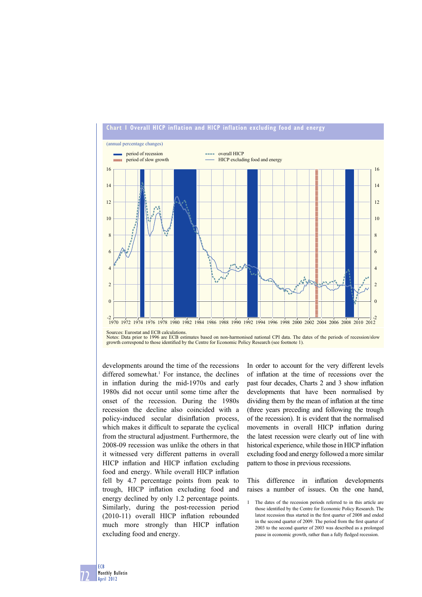

## **Chart 1 Overall HICP inflation and HICP inflation excluding food and energy**

developments around the time of the recessions differed somewhat.<sup>1</sup> For instance, the declines in inflation during the mid-1970s and early 1980s did not occur until some time after the onset of the recession. During the 1980s recession the decline also coincided with a policy-induced secular disinflation process, which makes it difficult to separate the cyclical from the structural adjustment. Furthermore, the 2008-09 recession was unlike the others in that it witnessed very different patterns in overall HICP inflation and HICP inflation excluding food and energy. While overall HICP inflation fell by 4.7 percentage points from peak to trough, HICP inflation excluding food and energy declined by only 1.2 percentage points. Similarly, during the post-recession period  $(2010-11)$  overall HICP inflation rebounded much more strongly than HICP inflation excluding food and energy.

In order to account for the very different levels of inflation at the time of recessions over the past four decades, Charts 2 and 3 show inflation developments that have been normalised by dividing them by the mean of inflation at the time (three years preceding and following the trough of the recession). It is evident that the normalised movements in overall HICP inflation during the latest recession were clearly out of line with historical experience, while those in HICP inflation excluding food and energy followed a more similar pattern to those in previous recessions.

This difference in inflation developments raises a number of issues. On the one hand,

**72 ECB Monthly Bulletin April 2012**

Sources: Eurostat and ECB calculations. Notes: Data prior to 1996 are ECB estimates based on non-harmonised national CPI data. The dates of the periods of recession/slow<br>growth correspond to those identified by the Centre for Economic Policy Research (see footno

<sup>1</sup> The dates of the recession periods referred to in this article are those identified by the Centre for Economic Policy Research. The latest recession thus started in the first quarter of 2008 and ended in the second quarter of 2009. The period from the first quarter of 2003 to the second quarter of 2003 was described as a prolonged pause in economic growth, rather than a fully fledged recession.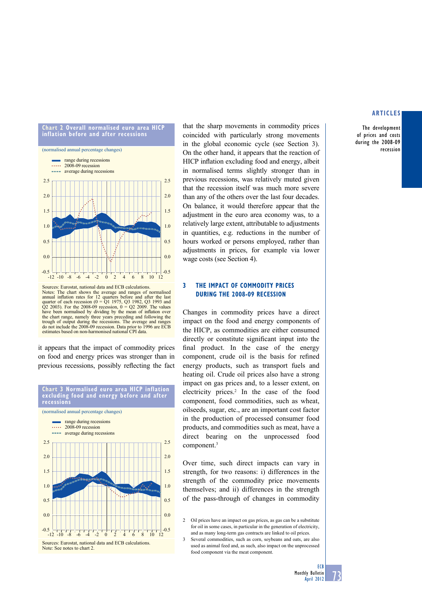

The development of prices and costs during the 2008-09 recession



Sources: Eurostat, national data and ECB calculations. Notes: The chart shows the average and ranges of normalised annual inflation rates for 12 quarters before and after the last quarter of each recession  $(0 = Q1 1975, Q3 1982, Q3 1993)$  and  $Q2 2003$ ). For the 2008-09 recession,  $0 = Q2 2009$ . The values have been normalised by dividing by the mean of inflation over the chart range, namely three years preceding and following the trough of output during the recessions. The average and ranges do not include the 2008-09 recession. Data prior to 1996 are ECB estimates based on non-harmonised national CPI data.

it appears that the impact of commodity prices on food and energy prices was stronger than in previous recessions, possibly reflecting the fact



that the sharp movements in commodity prices coincided with particularly strong movements in the global economic cycle (see Section 3). On the other hand, it appears that the reaction of HICP inflation excluding food and energy, albeit in normalised terms slightly stronger than in previous recessions, was relatively muted given that the recession itself was much more severe than any of the others over the last four decades. On balance, it would therefore appear that the adjustment in the euro area economy was, to a relatively large extent, attributable to adjustments in quantities, e.g. reductions in the number of hours worked or persons employed, rather than adjustments in prices, for example via lower wage costs (see Section 4).

# **3 THE IMPACT OF COMMODITY PRICES DURING THE 2008-09 RECESSION**

Changes in commodity prices have a direct impact on the food and energy components of the HICP, as commodities are either consumed directly or constitute significant input into the final product. In the case of the energy component, crude oil is the basis for refined energy products, such as transport fuels and heating oil. Crude oil prices also have a strong impact on gas prices and, to a lesser extent, on electricity prices.<sup>2</sup> In the case of the food component, food commodities, such as wheat, oilseeds, sugar, etc., are an important cost factor in the production of processed consumer food products, and commodities such as meat, have a direct bearing on the unprocessed food component.<sup>3</sup>

Over time, such direct impacts can vary in strength, for two reasons: i) differences in the strength of the commodity price movements themselves; and ii) differences in the strength of the pass-through of changes in commodity

<sup>3</sup> Several commodities, such as corn, soybeans and oats, are also used as animal feed and, as such, also impact on the unprocessed food component via the meat component.



<sup>2</sup> Oil prices have an impact on gas prices, as gas can be a substitute for oil in some cases, in particular in the generation of electricity, and as many long-term gas contracts are linked to oil prices.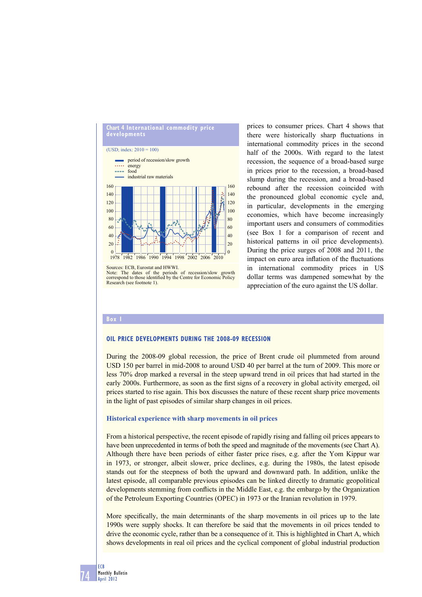

Sources: ECB, Eurostat and HWWI.<br>Note: The dates of the periods The dates of the periods of recession/slow growth correspond to those identified by the Centre for Economic Policy<br>Research (see footnote 1).

prices to consumer prices. Chart 4 shows that there were historically sharp fluctuations in international commodity prices in the second half of the 2000s. With regard to the latest recession, the sequence of a broad-based surge in prices prior to the recession, a broad-based slump during the recession, and a broad-based rebound after the recession coincided with the pronounced global economic cycle and, in particular, developments in the emerging economies, which have become increasingly important users and consumers of commodities (see Box 1 for a comparison of recent and historical patterns in oil price developments). During the price surges of 2008 and 2011, the impact on euro area inflation of the fluctuations in international commodity prices in US dollar terms was dampened somewhat by the appreciation of the euro against the US dollar.

#### **Box 1**

## **OIL PRICE DEVELOPMENTS DURING THE 2008-09 RECESSION**

During the 2008-09 global recession, the price of Brent crude oil plummeted from around USD 150 per barrel in mid-2008 to around USD 40 per barrel at the turn of 2009. This more or less 70% drop marked a reversal in the steep upward trend in oil prices that had started in the early 2000s. Furthermore, as soon as the first signs of a recovery in global activity emerged, oil prices started to rise again. This box discusses the nature of these recent sharp price movements in the light of past episodes of similar sharp changes in oil prices.

## **Historical experience with sharp movements in oil prices**

From a historical perspective, the recent episode of rapidly rising and falling oil prices appears to have been unprecedented in terms of both the speed and magnitude of the movements (see Chart A). Although there have been periods of either faster price rises, e.g. after the Yom Kippur war in 1973, or stronger, albeit slower, price declines, e.g. during the 1980s, the latest episode stands out for the steepness of both the upward and downward path. In addition, unlike the latest episode, all comparable previous episodes can be linked directly to dramatic geopolitical developments stemming from conflicts in the Middle East, e.g. the embargo by the Organization of the Petroleum Exporting Countries (OPEC) in 1973 or the Iranian revolution in 1979.

More specifically, the main determinants of the sharp movements in oil prices up to the late 1990s were supply shocks. It can therefore be said that the movements in oil prices tended to drive the economic cycle, rather than be a consequence of it. This is highlighted in Chart A, which shows developments in real oil prices and the cyclical component of global industrial production

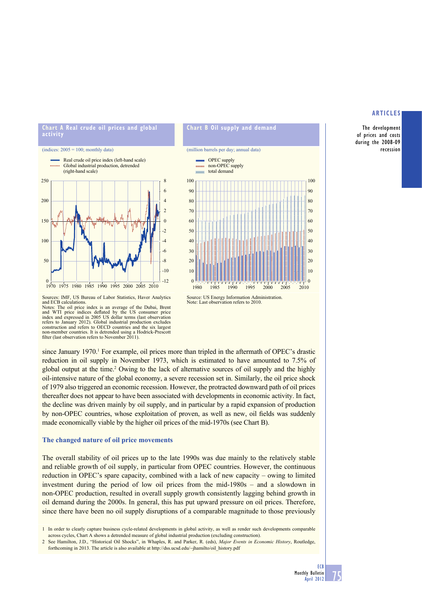**The development of prices and costs during the 2008-09 recession**





**Chart B Oil supply and demand** 

(million barrels per day; annual data)

Sources: IMF, US Bureau of Labor Statistics, Haver Analytics and ECB calculations.

Notes: The oil price index is an average of the Dubai, Brent and WTI price indices deflated by the US consumer price index and expressed in 2005 US dollar terms (last observation refers to January 2012). Global industrial production excludes construction and refers to OECD countries and the six largest non-member countries. It is detrended using a Hodrick-Prescott filter (last observation refers to November 2011).

since January 1970.<sup>1</sup> For example, oil prices more than tripled in the aftermath of OPEC's drastic reduction in oil supply in November 1973, which is estimated to have amounted to 7.5% of global output at the time.<sup>2</sup> Owing to the lack of alternative sources of oil supply and the highly oil-intensive nature of the global economy, a severe recession set in. Similarly, the oil price shock of 1979 also triggered an economic recession. However, the protracted downward path of oil prices thereafter does not appear to have been associated with developments in economic activity. In fact, the decline was driven mainly by oil supply, and in particular by a rapid expansion of production by non-OPEC countries, whose exploitation of proven, as well as new, oil fields was suddenly made economically viable by the higher oil prices of the mid-1970s (see Chart B).

# **The changed nature of oil price movements**

The overall stability of oil prices up to the late 1990s was due mainly to the relatively stable and reliable growth of oil supply, in particular from OPEC countries. However, the continuous reduction in OPEC's spare capacity, combined with a lack of new capacity – owing to limited investment during the period of low oil prices from the mid-1980s – and a slowdown in non-OPEC production, resulted in overall supply growth consistently lagging behind growth in oil demand during the 2000s. In general, this has put upward pressure on oil prices. Therefore, since there have been no oil supply disruptions of a comparable magnitude to those previously

<sup>1</sup> In order to clearly capture business cycle-related developments in global activity, as well as render such developments comparable across cycles, Chart A shows a detrended measure of global industrial production (excluding construction).

<sup>2</sup> See Hamilton, J.D., "Historical Oil Shocks", in Whaples, R. and Parker, R. (eds), *Major Events in Economic History*, Routledge, forthcoming in 2013. The article is also available at http://dss.ucsd.edu/~jhamilto/oil\_history.pdf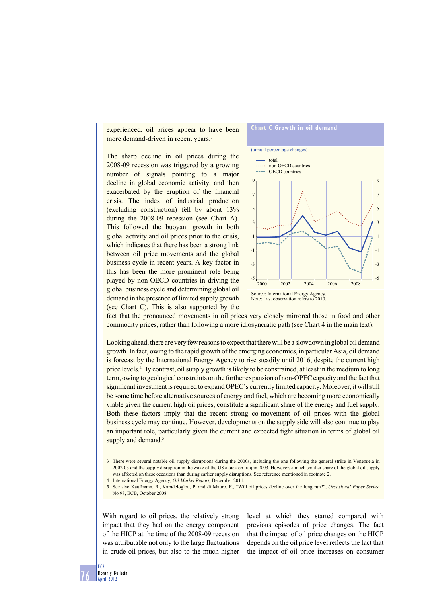experienced, oil prices appear to have been more demand-driven in recent years.<sup>3</sup>

The sharp decline in oil prices during the 2008-09 recession was triggered by a growing number of signals pointing to a major decline in global economic activity, and then exacerbated by the eruption of the financial crisis. The index of industrial production (excluding construction) fell by about 13% during the 2008-09 recession (see Chart A). This followed the buoyant growth in both global activity and oil prices prior to the crisis, which indicates that there has been a strong link between oil price movements and the global business cycle in recent years. A key factor in this has been the more prominent role being played by non-OECD countries in driving the global business cycle and determining global oil demand in the presence of limited supply growth (see Chart C). This is also supported by the





fact that the pronounced movements in oil prices very closely mirrored those in food and other commodity prices, rather than following a more idiosyncratic path (see Chart 4 in the main text).

Looking ahead, there are very few reasons to expect that there will be a slowdown in global oil demand growth. In fact, owing to the rapid growth of the emerging economies, in particular Asia, oil demand is forecast by the International Energy Agency to rise steadily until 2016, despite the current high price levels.<sup>4</sup> By contrast, oil supply growth is likely to be constrained, at least in the medium to long term, owing to geological constraints on the further expansion of non-OPEC capacity and the fact that significant investment is required to expand OPEC's currently limited capacity. Moreover, it will still be some time before alternative sources of energy and fuel, which are becoming more economically viable given the current high oil prices, constitute a significant share of the energy and fuel supply. Both these factors imply that the recent strong co-movement of oil prices with the global business cycle may continue. However, developments on the supply side will also continue to play an important role, particularly given the current and expected tight situation in terms of global oil supply and demand.<sup>5</sup>

With regard to oil prices, the relatively strong impact that they had on the energy component of the HICP at the time of the 2008-09 recession was attributable not only to the large fluctuations in crude oil prices, but also to the much higher

level at which they started compared with previous episodes of price changes. The fact that the impact of oil price changes on the HICP depends on the oil price level reflects the fact that the impact of oil price increases on consumer



<sup>3</sup> There were several notable oil supply disruptions during the 2000s, including the one following the general strike in Venezuela in 2002-03 and the supply disruption in the wake of the US attack on Iraq in 2003. However, a much smaller share of the global oil supply was affected on these occasions than during earlier supply disruptions. See reference mentioned in footnote 2.

<sup>4</sup> International Energy Agency, *Oil Market Report*, December 2011.

<sup>5</sup> See also Kaufmann, R., Karadeloglou, P. and di Mauro, F., "Will oil prices decline over the long run?", *Occasional Paper Series*, No 98, ECB, October 2008.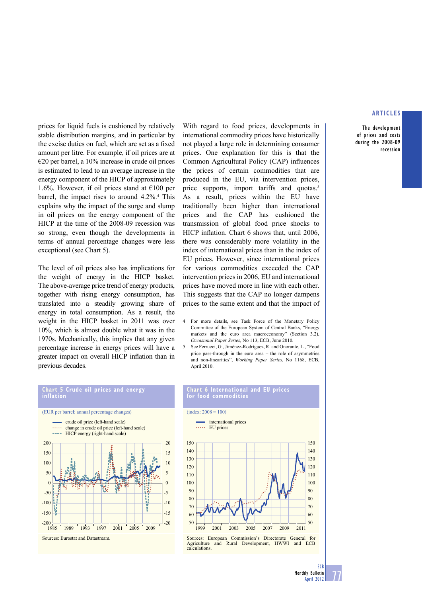**The development of prices and costs during the 2008-09 recession**

prices for liquid fuels is cushioned by relatively stable distribution margins, and in particular by the excise duties on fuel, which are set as a fixed amount per litre. For example, if oil prices are at €20 per barrel, a 10% increase in crude oil prices is estimated to lead to an average increase in the energy component of the HICP of approximately 1.6%. However, if oil prices stand at  $\epsilon$ 100 per barrel, the impact rises to around 4.2%.<sup>4</sup> This explains why the impact of the surge and slump in oil prices on the energy component of the HICP at the time of the 2008-09 recession was so strong, even though the developments in terms of annual percentage changes were less exceptional (see Chart 5).

The level of oil prices also has implications for the weight of energy in the HICP basket. The above-average price trend of energy products, together with rising energy consumption, has translated into a steadily growing share of energy in total consumption. As a result, the weight in the HICP basket in 2011 was over 10%, which is almost double what it was in the 1970s. Mechanically, this implies that any given percentage increase in energy prices will have a greater impact on overall HICP inflation than in previous decades.

With regard to food prices, developments in international commodity prices have historically not played a large role in determining consumer prices. One explanation for this is that the Common Agricultural Policy (CAP) influences the prices of certain commodities that are produced in the EU, via intervention prices, price supports, import tariffs and quotas.<sup>5</sup> As a result, prices within the EU have traditionally been higher than international prices and the CAP has cushioned the transmission of global food price shocks to HICP inflation. Chart 6 shows that, until 2006, there was considerably more volatility in the index of international prices than in the index of EU prices. However, since international prices for various commodities exceeded the CAP intervention prices in 2006, EU and international prices have moved more in line with each other. This suggests that the CAP no longer dampens prices to the same extent and that the impact of

- 4 For more details, see Task Force of the Monetary Policy Committee of the European System of Central Banks, "Energy markets and the euro area macroeconomy" (Section 3.2), *Occasional Paper Series*, No 113, ECB, June 2010.
- 5 See Ferrucci, G., Jiménez-Rodríguez, R. and Onorante, L., "Food price pass-through in the euro area – the role of asymmetries and non-linearities", *Working Paper Series*, No 1168, ECB, April 2010.



#### **Chart 6 International and EU prices for food commodities**

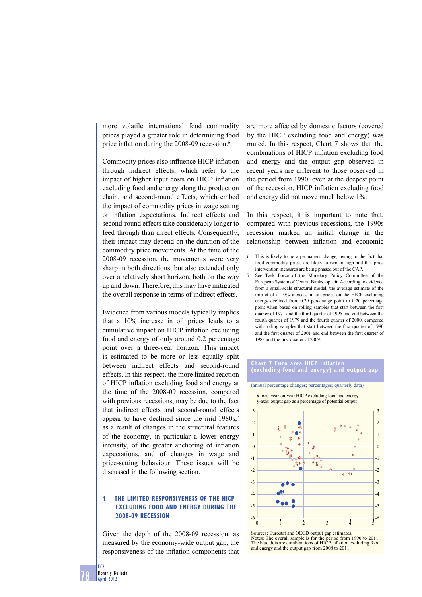more volatile international food commodity prices played a greater role in determining food price inflation during the  $2008-09$  recession.<sup>6</sup>

Commodity prices also influence HICP inflation through indirect effects, which refer to the impact of higher input costs on HICP inflation excluding food and energy along the production chain, and second-round effects, which embed the impact of commodity prices in wage setting or inflation expectations. Indirect effects and second-round effects take considerably longer to feed through than direct effects. Consequently, their impact may depend on the duration of the commodity price movements. At the time of the 2008-09 recession, the movements were very sharp in both directions, but also extended only over a relatively short horizon, both on the way up and down. Therefore, this may have mitigated the overall response in terms of indirect effects.

Evidence from various models typically implies that a 10% increase in oil prices leads to a cumulative impact on HICP inflation excluding food and energy of only around 0.2 percentage point over a three-year horizon. This impact is estimated to be more or less equally split between indirect effects and second-round effects. In this respect, the more limited reaction of HICP inflation excluding food and energy at the time of the 2008-09 recession, compared with previous recessions, may be due to the fact that indirect effects and second-round effects appear to have declined since the mid-1980s, $\frac{7}{2}$ as a result of changes in the structural features of the economy, in particular a lower energy intensity, of the greater anchoring of inflation expectations, and of changes in wage and price-setting behaviour. These issues will be discussed in the following section.

# **4 THE LIMITED RESPONSIVENESS OF THE HICP EXCLUDING FOOD AND ENERGY DURING THE 2008-09 RECESSION**

Given the depth of the 2008-09 recession, as measured by the economy-wide output gap, the responsiveness of the inflation components that

are more affected by domestic factors (covered by the HICP excluding food and energy) was muted. In this respect, Chart 7 shows that the combinations of HICP inflation excluding food and energy and the output gap observed in recent years are different to those observed in the period from 1990: even at the deepest point of the recession, HICP inflation excluding food and energy did not move much below 1%.

In this respect, it is important to note that, compared with previous recessions, the 1990s recession marked an initial change in the relationship between inflation and economic

- 6 This is likely to be a permanent change, owing to the fact that food commodity prices are likely to remain high and that price intervention measures are being phased out of the CAP.
- 7 See Task Force of the Monetary Policy Committee of the European System of Central Banks, op. cit. According to evidence from a small-scale structural model, the average estimate of the impact of a 10% increase in oil prices on the HICP excluding energy declined from 0.29 percentage point to 0.20 percentage point when based on rolling samples that start between the first quarter of 1971 and the third quarter of 1995 and end between the fourth quarter of 1979 and the fourth quarter of 2000, compared with rolling samples that start between the first quarter of 1980 and the first quarter of 2001 and end between the first quarter of 1988 and the first quarter of 2009.

#### **Chart 7 Euro area HICP inflation (excluding food and energy) and output gap**



Sources: Eurostat and OECD output gap estimates. Notes: The overall sample is for the period from 1990 to 2011.<br>The blue dots are combinations of HICP inflation excluding food and energy and the output gap from 2008 to 2011.

**ECB**

**78**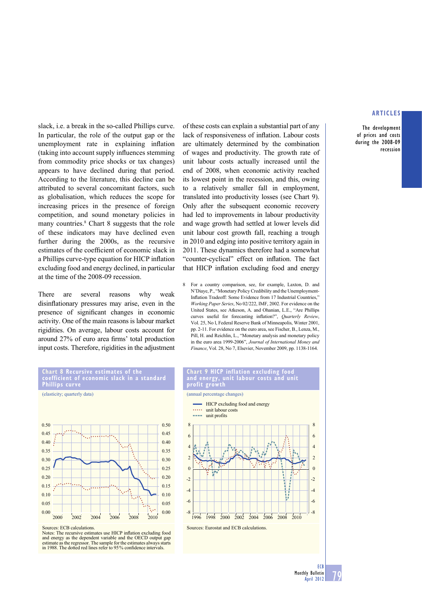**The development of prices and costs during the 2008-09 recession**

slack, i.e. a break in the so-called Phillips curve. In particular, the role of the output gap or the unemployment rate in explaining inflation (taking into account supply influences stemming) from commodity price shocks or tax changes) appears to have declined during that period. According to the literature, this decline can be attributed to several concomitant factors, such as globalisation, which reduces the scope for increasing prices in the presence of foreign competition, and sound monetary policies in many countries.<sup>8</sup> Chart 8 suggests that the role of these indicators may have declined even further during the 2000s, as the recursive estimates of the coefficient of economic slack in a Phillips curve-type equation for HICP inflation excluding food and energy declined, in particular at the time of the 2008-09 recession.

There are several reasons why weak disinflationary pressures may arise, even in the presence of significant changes in economic activity. One of the main reasons is labour market rigidities. On average, labour costs account for around 27% of euro area firms' total production input costs. Therefore, rigidities in the adjustment of these costs can explain a substantial part of any lack of responsiveness of inflation. Labour costs are ultimately determined by the combination of wages and productivity. The growth rate of unit labour costs actually increased until the end of 2008, when economic activity reached its lowest point in the recession, and this, owing to a relatively smaller fall in employment, translated into productivity losses (see Chart 9). Only after the subsequent economic recovery had led to improvements in labour productivity and wage growth had settled at lower levels did unit labour cost growth fall, reaching a trough in 2010 and edging into positive territory again in 2011. These dynamics therefore had a somewhat "counter-cyclical" effect on inflation. The fact that HICP inflation excluding food and energy

8 For a country comparison, see, for example, Laxton, D. and N'Diaye, P., "Monetary Policy Credibility and the Unemployment-Inflation Tradeoff: Some Evidence from 17 Industrial Countries,' *Working Paper Series*, No 02/222, IMF, 2002. For evidence on the United States, see Atkeson, A. and Ohanian, L.E., "Are Phillips curves useful for forecasting inflation?", *Quarterly Review*, Vol. 25, No l, Federal Reserve Bank of Minneapolis, Winter 2001, pp. 2-11. For evidence on the euro area, see Fischer, B., Lenza, M., Pill, H. and Reichlin, L., "Monetary analysis and monetary policy in the euro area 1999-2006", *Journal of International Money and Finance*, Vol. 28, No 7, Elsevier, November 2009, pp. 1138-1164.

# **Chart 8 Recursive estimates of the coefficient of economic slack in a standard Phillips curve**



Sources: ECB calculations.

Notes: The recursive estimates use HICP inflation excluding food and energy as the dependent variable and the OECD output gap estimate as the regressor. The sample for the estimates always starts in 1988. The dotted red lines refer to 95% confidence intervals.

#### **Chart 9 HICP inflation excluding food and energy, unit labour costs and unit profit growth**

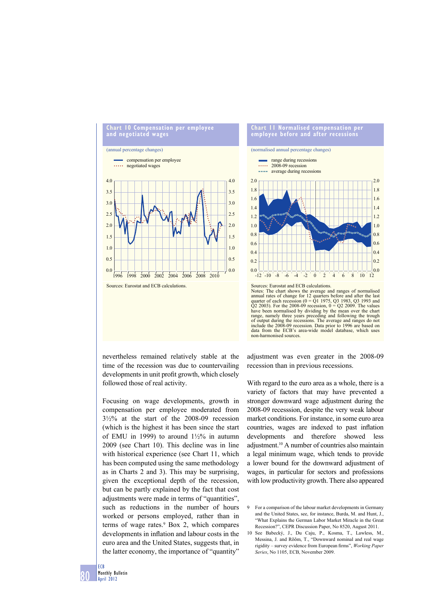

nevertheless remained relatively stable at the time of the recession was due to countervailing developments in unit profit growth, which closely followed those of real activity.

Focusing on wage developments, growth in compensation per employee moderated from  $3\frac{1}{2}\%$  at the start of the 2008-09 recession (which is the highest it has been since the start of EMU in 1999) to around  $1\frac{1}{2}\%$  in autumn 2009 (see Chart 10). This decline was in line with historical experience (see Chart 11, which has been computed using the same methodology as in Charts 2 and 3). This may be surprising, given the exceptional depth of the recession, but can be partly explained by the fact that cost adjustments were made in terms of "quantities", such as reductions in the number of hours worked or persons employed, rather than in terms of wage rates.<sup>9</sup> Box 2, which compares developments in inflation and labour costs in the euro area and the United States, suggests that, in the latter economy, the importance of "quantity"



Notes: The chart shows the average and ranges of normalised annual rates of change for 12 quarters before and after the last quarter of each recession  $(0 = Q1 1975, Q3 1983, Q3 1993)$  and  $(Q2 2003)$ . For the 2008-09 recession,  $0 = Q2 2009$ . The values have been normalised by dividing by the mean over the chart range, namely three years preceding and following the trough of output during the recessions. The average and ranges do not include the 2008-09 recession. Data prior to 1996 are based on data from the ECB's area-wide model database, which uses non-harmonised sources.

adjustment was even greater in the 2008-09 recession than in previous recessions.

With regard to the euro area as a whole, there is a variety of factors that may have prevented a stronger downward wage adjustment during the 2008-09 recesssion, despite the very weak labour market conditions. For instance, in some euro area countries, wages are indexed to past inflation developments and therefore showed less adjustment.10 A number of countries also maintain a legal minimum wage, which tends to provide a lower bound for the downward adjustment of wages, in particular for sectors and professions with low productivity growth. There also appeared

<sup>9</sup> For a comparison of the labour market developments in Germany and the United States, see, for instance, Burda, M. and Hunt, J., "What Explains the German Labor Market Miracle in the Great Recession?", CEPR Discussion Paper, No 8520, August 2011.

<sup>10</sup> See Babecký, J., Du Caju, P., Kosma, T., Lawless, M., Messina, J. and Rõõm, T., "Downward nominal and real wage rigidity – survey evidence from European firms", *Working Paper Series*, No 1105, ECB, November 2009.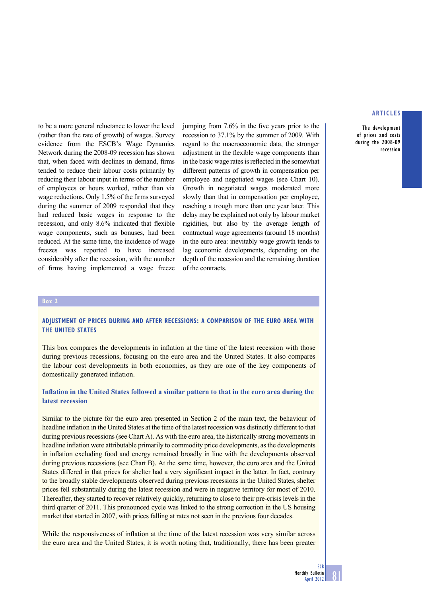**The development of prices and costs during the 2008-09 recession**

to be a more general reluctance to lower the level (rather than the rate of growth) of wages. Survey evidence from the ESCB's Wage Dynamics Network during the 2008-09 recession has shown that, when faced with declines in demand, firms tended to reduce their labour costs primarily by reducing their labour input in terms of the number of employees or hours worked, rather than via wage reductions. Only  $1.5\%$  of the firms surveyed during the summer of 2009 responded that they had reduced basic wages in response to the recession, and only 8.6% indicated that flexible wage components, such as bonuses, had been reduced. At the same time, the incidence of wage freezes was reported to have increased considerably after the recession, with the number of firms having implemented a wage freeze

jumping from  $7.6\%$  in the five years prior to the recession to 37.1% by the summer of 2009. With regard to the macroeconomic data, the stronger adjustment in the flexible wage components than in the basic wage rates is reflected in the somewhat different patterns of growth in compensation per employee and negotiated wages (see Chart 10). Growth in negotiated wages moderated more slowly than that in compensation per employee, reaching a trough more than one year later. This delay may be explained not only by labour market rigidities, but also by the average length of contractual wage agreements (around 18 months) in the euro area: inevitably wage growth tends to lag economic developments, depending on the depth of the recession and the remaining duration of the contracts.

#### **Box 2**

# **ADJUSTMENT OF PRICES DURING AND AFTER RECESSIONS: A COMPARISON OF THE EURO AREA WITH THE UNITED STATES**

This box compares the developments in inflation at the time of the latest recession with those during previous recessions, focusing on the euro area and the United States. It also compares the labour cost developments in both economies, as they are one of the key components of domestically generated inflation.

# **Inflation in the United States followed a similar pattern to that in the euro area during the latest recession**

Similar to the picture for the euro area presented in Section 2 of the main text, the behaviour of headline inflation in the United States at the time of the latest recession was distinctly different to that during previous recessions (see Chart A). As with the euro area, the historically strong movements in headline inflation were attributable primarily to commodity price developments, as the developments in inflation excluding food and energy remained broadly in line with the developments observed during previous recessions (see Chart B). At the same time, however, the euro area and the United States differed in that prices for shelter had a very significant impact in the latter. In fact, contrary to the broadly stable developments observed during previous recessions in the United States, shelter prices fell substantially during the latest recession and were in negative territory for most of 2010. Thereafter, they started to recover relatively quickly, returning to close to their pre-crisis levels in the third quarter of 2011. This pronounced cycle was linked to the strong correction in the US housing market that started in 2007, with prices falling at rates not seen in the previous four decades.

While the responsiveness of inflation at the time of the latest recession was very similar across the euro area and the United States, it is worth noting that, traditionally, there has been greater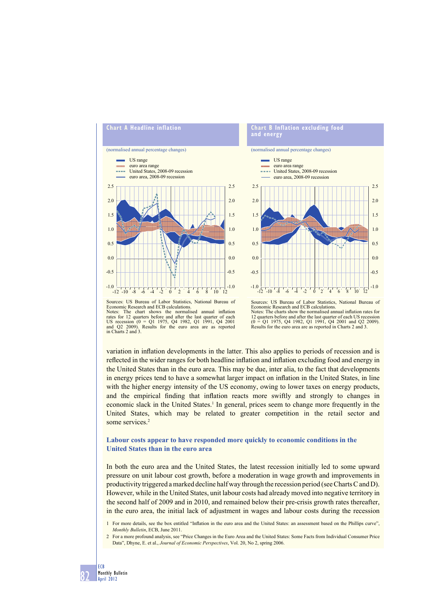



Sources: US Bureau of Labor Statistics, National Bureau of Economic Research and ECB calculations. Notes: The chart shows the normalised annual inflation rates for 12 quarters before and after the last quarter of each US recession (0 = Q1 1975, Q4 1982, Q1 1991, Q4 2001 and Q2 2009). Results for the euro area are as reported in Charts 2 and 3.

Economic Research and ECB calculations. Notes: The charts show the normalised annual inflation rates for 12 quarters before and after the last quarter of each US recession (0 = Q1 1975, Q4 1982, Q1 1991, Q4 2001 and Q2 2009). Results for the euro area are as reported in Charts 2 and 3.

variation in inflation developments in the latter. This also applies to periods of recession and is reflected in the wider ranges for both headline inflation and inflation excluding food and energy in the United States than in the euro area. This may be due, inter alia, to the fact that developments in energy prices tend to have a somewhat larger impact on inflation in the United States, in line with the higher energy intensity of the US economy, owing to lower taxes on energy products, and the empirical finding that inflation reacts more swiftly and strongly to changes in economic slack in the United States.<sup>1</sup> In general, prices seem to change more frequently in the United States, which may be related to greater competition in the retail sector and some services.<sup>2</sup>

# **Labour costs appear to have responded more quickly to economic conditions in the United States than in the euro area**

In both the euro area and the United States, the latest recession initially led to some upward pressure on unit labour cost growth, before a moderation in wage growth and improvements in productivity triggered a marked decline half way through the recession period (see Charts C and D). However, while in the United States, unit labour costs had already moved into negative territory in the second half of 2009 and in 2010, and remained below their pre-crisis growth rates thereafter, in the euro area, the initial lack of adjustment in wages and labour costs during the recession

2 For a more profound analysis, see "Price Changes in the Euro Area and the United States: Some Facts from Individual Consumer Price Data", Dhyne, E. et al., *Journal of Economic Perspectives*, Vol. 20, No 2, spring 2006.

<sup>1</sup> For more details, see the box entitled "Inflation in the euro area and the United States: an assessment based on the Phillips curve", *Monthly Bulletin*, ECB, June 2011.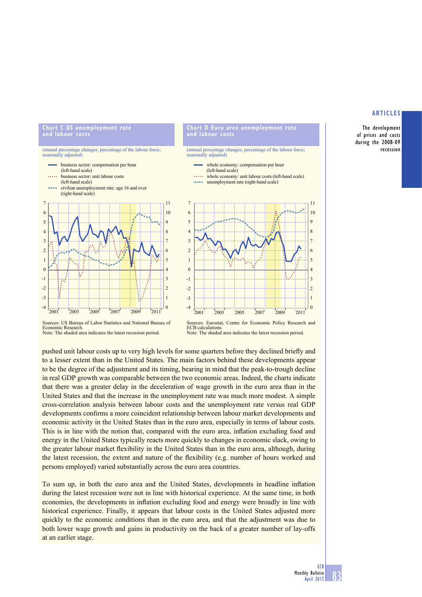**The development of prices and costs during the 2008-09 recession**

#### **Chart C US unemployment rate and labour costs**



#### **Chart D Euro area unemployment rate and labour costs**

(annual percentage changes; percentage of the labour force; easonally adjusted)





Sources: US Bureau of Labor Statistics and National Bureau of Economic Research. Note: The shaded area indicates the latest recession period.

pushed unit labour costs up to very high levels for some quarters before they declined briefly and to a lesser extent than in the United States. The main factors behind these developments appear to be the degree of the adjustment and its timing, bearing in mind that the peak-to-trough decline in real GDP growth was comparable between the two economic areas. Indeed, the charts indicate that there was a greater delay in the deceleration of wage growth in the euro area than in the United States and that the increase in the unemployment rate was much more modest. A simple cross-correlation analysis between labour costs and the unemployment rate versus real GDP developments confirms a more coincident relationship between labour market developments and economic activity in the United States than in the euro area, especially in terms of labour costs. This is in line with the notion that, compared with the euro area, inflation excluding food and energy in the United States typically reacts more quickly to changes in economic slack, owing to the greater labour market flexibility in the United States than in the euro area, although, during the latest recession, the extent and nature of the flexibility (e.g. number of hours worked and persons employed) varied substantially across the euro area countries.

To sum up, in both the euro area and the United States, developments in headline inflation during the latest recession were not in line with historical experience. At the same time, in both economies, the developments in inflation excluding food and energy were broadly in line with historical experience. Finally, it appears that labour costs in the United States adjusted more quickly to the economic conditions than in the euro area, and that the adjustment was due to both lower wage growth and gains in productivity on the back of a greater number of lay-offs at an earlier stage.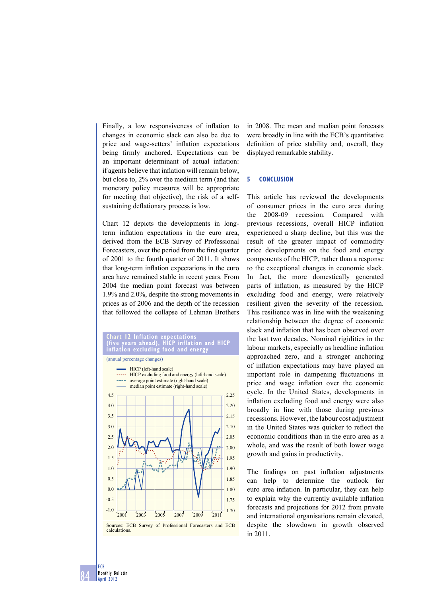Finally, a low responsiveness of inflation to changes in economic slack can also be due to price and wage-setters' inflation expectations being firmly anchored. Expectations can be an important determinant of actual inflation: if agents believe that inflation will remain below, but close to, 2% over the medium term (and that monetary policy measures will be appropriate for meeting that objective), the risk of a selfsustaining deflationary process is low.

Chart 12 depicts the developments in longterm inflation expectations in the euro area, derived from the ECB Survey of Professional Forecasters, over the period from the first quarter of 2001 to the fourth quarter of 2011. It shows that long-term inflation expectations in the euro area have remained stable in recent years. From 2004 the median point forecast was between 1.9% and 2.0%, despite the strong movements in prices as of 2006 and the depth of the recession that followed the collapse of Lehman Brothers



in 2008. The mean and median point forecasts were broadly in line with the ECB's quantitative definition of price stability and, overall, they displayed remarkable stability.

#### **5 CONCLUSION**

This article has reviewed the developments of consumer prices in the euro area during the 2008-09 recession. Compared with previous recessions, overall HICP inflation experienced a sharp decline, but this was the result of the greater impact of commodity price developments on the food and energy components of the HICP, rather than a response to the exceptional changes in economic slack. In fact, the more domestically generated parts of inflation, as measured by the HICP excluding food and energy, were relatively resilient given the severity of the recession. This resilience was in line with the weakening relationship between the degree of economic slack and inflation that has been observed over the last two decades. Nominal rigidities in the labour markets, especially as headline inflation approached zero, and a stronger anchoring of inflation expectations may have played an important role in dampening fluctuations in price and wage inflation over the economic cycle. In the United States, developments in inflation excluding food and energy were also broadly in line with those during previous recessions. However, the labour cost adjustment in the United States was quicker to reflect the economic conditions than in the euro area as a whole, and was the result of both lower wage growth and gains in productivity.

The findings on past inflation adjustments can help to determine the outlook for euro area inflation. In particular, they can help to explain why the currently available inflation forecasts and projections for 2012 from private and international organisations remain elevated, despite the slowdown in growth observed in 2011.

**84 Monthly Bulletin April 2012**

**ECB**